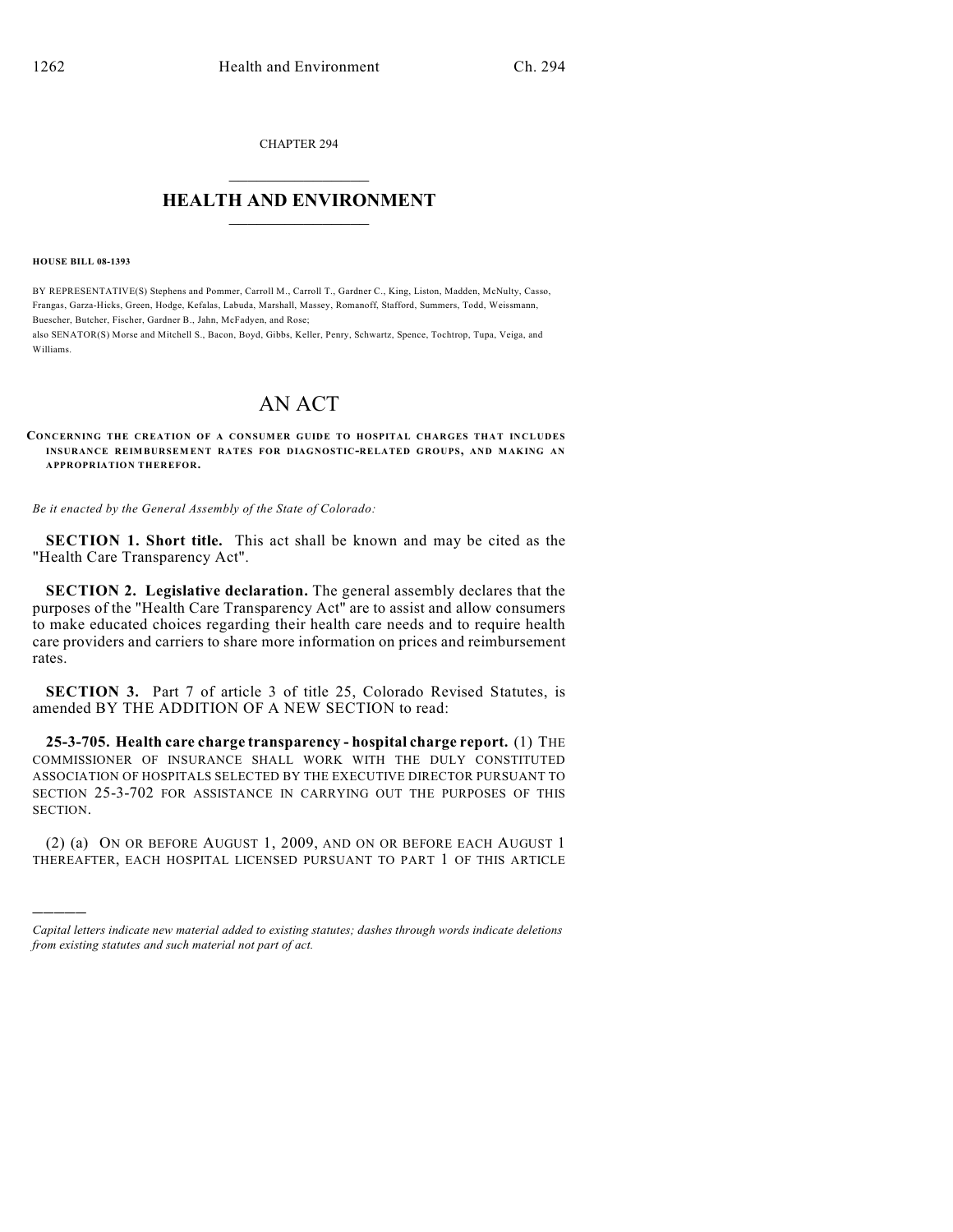CHAPTER 294  $\mathcal{L}_\text{max}$  . The set of the set of the set of the set of the set of the set of the set of the set of the set of the set of the set of the set of the set of the set of the set of the set of the set of the set of the set

## **HEALTH AND ENVIRONMENT**  $\_$

**HOUSE BILL 08-1393**

)))))

BY REPRESENTATIVE(S) Stephens and Pommer, Carroll M., Carroll T., Gardner C., King, Liston, Madden, McNulty, Casso, Frangas, Garza-Hicks, Green, Hodge, Kefalas, Labuda, Marshall, Massey, Romanoff, Stafford, Summers, Todd, Weissmann, Buescher, Butcher, Fischer, Gardner B., Jahn, McFadyen, and Rose;

also SENATOR(S) Morse and Mitchell S., Bacon, Boyd, Gibbs, Keller, Penry, Schwartz, Spence, Tochtrop, Tupa, Veiga, and Williams.

## AN ACT

**CONCERNING THE CREATION OF A CONSUMER GUIDE TO HOSPITAL CHARGES THAT INCLUDES INSURANCE REIMBURSEM ENT RATES FOR DIAGNOSTIC-RELATED GROUPS, AND MAKING AN APPROPRIATION THEREFOR.**

*Be it enacted by the General Assembly of the State of Colorado:*

**SECTION 1. Short title.** This act shall be known and may be cited as the "Health Care Transparency Act".

**SECTION 2. Legislative declaration.** The general assembly declares that the purposes of the "Health Care Transparency Act" are to assist and allow consumers to make educated choices regarding their health care needs and to require health care providers and carriers to share more information on prices and reimbursement rates.

**SECTION 3.** Part 7 of article 3 of title 25, Colorado Revised Statutes, is amended BY THE ADDITION OF A NEW SECTION to read:

**25-3-705. Health care charge transparency - hospital charge report.** (1) THE COMMISSIONER OF INSURANCE SHALL WORK WITH THE DULY CONSTITUTED ASSOCIATION OF HOSPITALS SELECTED BY THE EXECUTIVE DIRECTOR PURSUANT TO SECTION 25-3-702 FOR ASSISTANCE IN CARRYING OUT THE PURPOSES OF THIS SECTION.

(2) (a) ON OR BEFORE AUGUST 1, 2009, AND ON OR BEFORE EACH AUGUST 1 THEREAFTER, EACH HOSPITAL LICENSED PURSUANT TO PART 1 OF THIS ARTICLE

*Capital letters indicate new material added to existing statutes; dashes through words indicate deletions from existing statutes and such material not part of act.*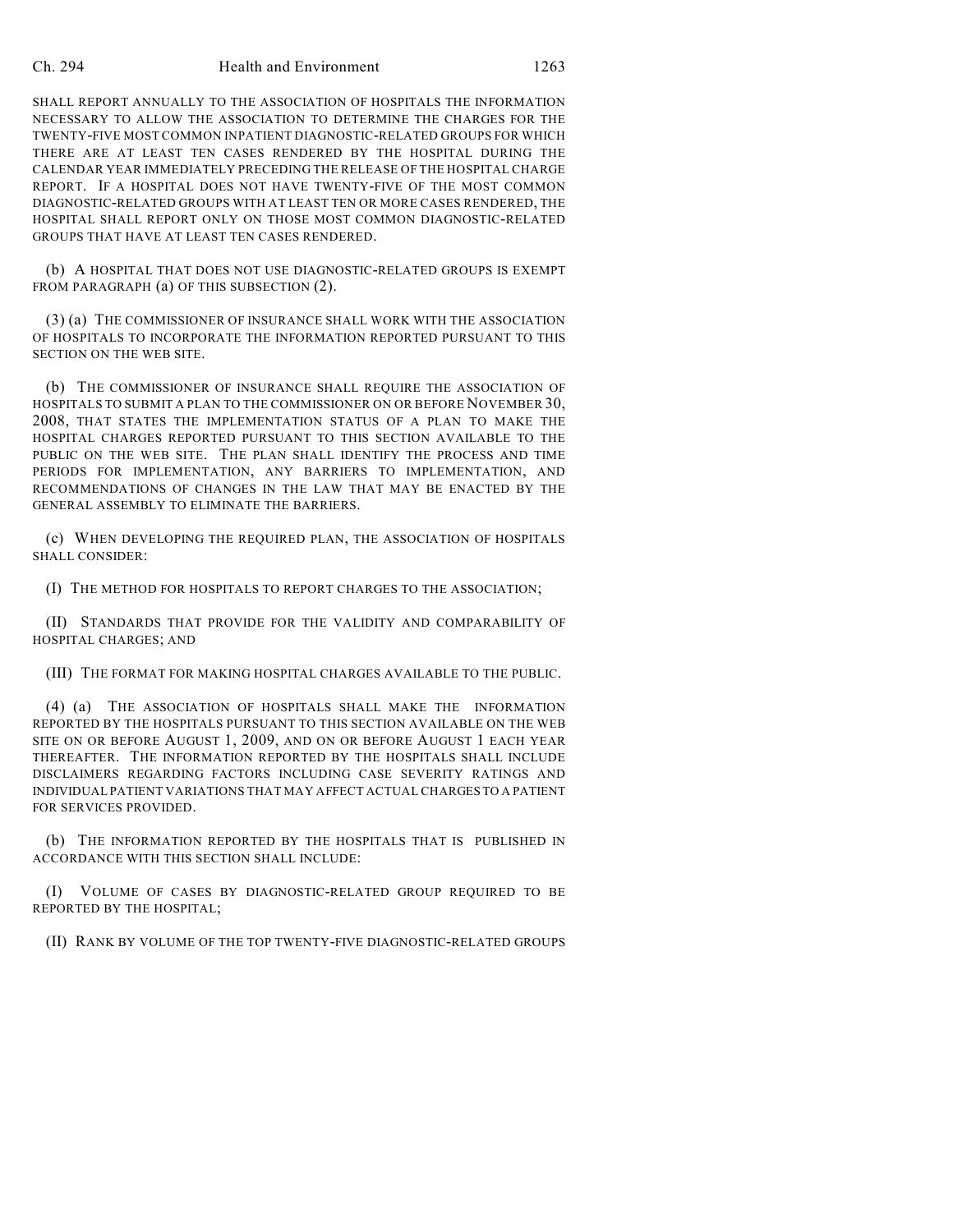## Ch. 294 Health and Environment 1263

SHALL REPORT ANNUALLY TO THE ASSOCIATION OF HOSPITALS THE INFORMATION NECESSARY TO ALLOW THE ASSOCIATION TO DETERMINE THE CHARGES FOR THE TWENTY-FIVE MOST COMMON INPATIENT DIAGNOSTIC-RELATED GROUPS FOR WHICH THERE ARE AT LEAST TEN CASES RENDERED BY THE HOSPITAL DURING THE CALENDAR YEAR IMMEDIATELY PRECEDING THE RELEASE OF THE HOSPITAL CHARGE REPORT. IF A HOSPITAL DOES NOT HAVE TWENTY-FIVE OF THE MOST COMMON DIAGNOSTIC-RELATED GROUPS WITH AT LEAST TEN OR MORE CASES RENDERED, THE HOSPITAL SHALL REPORT ONLY ON THOSE MOST COMMON DIAGNOSTIC-RELATED GROUPS THAT HAVE AT LEAST TEN CASES RENDERED.

(b) A HOSPITAL THAT DOES NOT USE DIAGNOSTIC-RELATED GROUPS IS EXEMPT FROM PARAGRAPH (a) OF THIS SUBSECTION (2).

(3) (a) THE COMMISSIONER OF INSURANCE SHALL WORK WITH THE ASSOCIATION OF HOSPITALS TO INCORPORATE THE INFORMATION REPORTED PURSUANT TO THIS SECTION ON THE WEB SITE.

(b) THE COMMISSIONER OF INSURANCE SHALL REQUIRE THE ASSOCIATION OF HOSPITALS TO SUBMIT A PLAN TO THE COMMISSIONER ON OR BEFORE NOVEMBER 30, 2008, THAT STATES THE IMPLEMENTATION STATUS OF A PLAN TO MAKE THE HOSPITAL CHARGES REPORTED PURSUANT TO THIS SECTION AVAILABLE TO THE PUBLIC ON THE WEB SITE. THE PLAN SHALL IDENTIFY THE PROCESS AND TIME PERIODS FOR IMPLEMENTATION, ANY BARRIERS TO IMPLEMENTATION, AND RECOMMENDATIONS OF CHANGES IN THE LAW THAT MAY BE ENACTED BY THE GENERAL ASSEMBLY TO ELIMINATE THE BARRIERS.

(c) WHEN DEVELOPING THE REQUIRED PLAN, THE ASSOCIATION OF HOSPITALS SHALL CONSIDER:

(I) THE METHOD FOR HOSPITALS TO REPORT CHARGES TO THE ASSOCIATION;

(II) STANDARDS THAT PROVIDE FOR THE VALIDITY AND COMPARABILITY OF HOSPITAL CHARGES; AND

(III) THE FORMAT FOR MAKING HOSPITAL CHARGES AVAILABLE TO THE PUBLIC.

(4) (a) THE ASSOCIATION OF HOSPITALS SHALL MAKE THE INFORMATION REPORTED BY THE HOSPITALS PURSUANT TO THIS SECTION AVAILABLE ON THE WEB SITE ON OR BEFORE AUGUST 1, 2009, AND ON OR BEFORE AUGUST 1 EACH YEAR THEREAFTER. THE INFORMATION REPORTED BY THE HOSPITALS SHALL INCLUDE DISCLAIMERS REGARDING FACTORS INCLUDING CASE SEVERITY RATINGS AND INDIVIDUAL PATIENT VARIATIONS THAT MAY AFFECT ACTUAL CHARGES TO A PATIENT FOR SERVICES PROVIDED.

(b) THE INFORMATION REPORTED BY THE HOSPITALS THAT IS PUBLISHED IN ACCORDANCE WITH THIS SECTION SHALL INCLUDE:

(I) VOLUME OF CASES BY DIAGNOSTIC-RELATED GROUP REQUIRED TO BE REPORTED BY THE HOSPITAL;

(II) RANK BY VOLUME OF THE TOP TWENTY-FIVE DIAGNOSTIC-RELATED GROUPS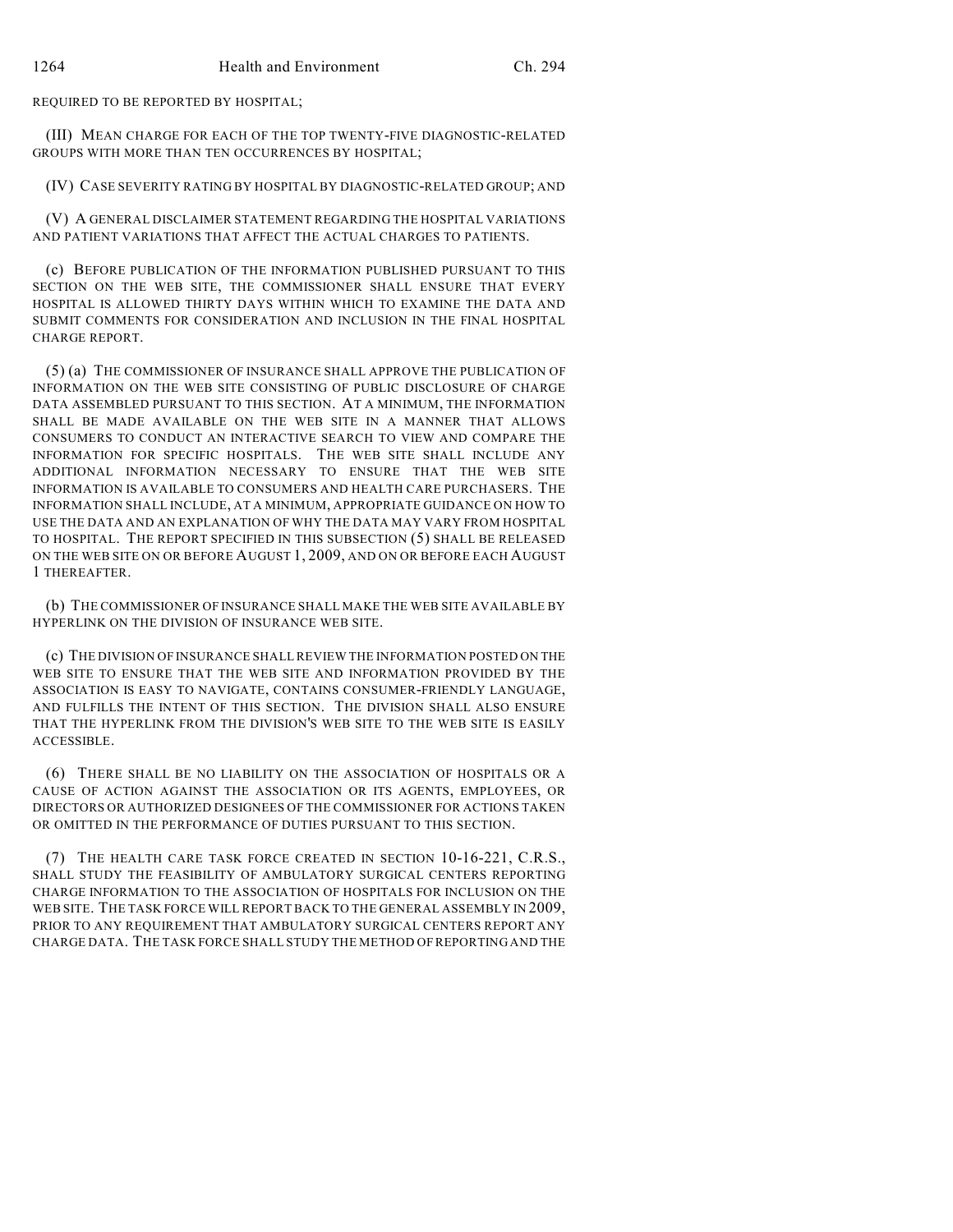REQUIRED TO BE REPORTED BY HOSPITAL;

(III) MEAN CHARGE FOR EACH OF THE TOP TWENTY-FIVE DIAGNOSTIC-RELATED GROUPS WITH MORE THAN TEN OCCURRENCES BY HOSPITAL;

(IV) CASE SEVERITY RATING BY HOSPITAL BY DIAGNOSTIC-RELATED GROUP; AND

(V) A GENERAL DISCLAIMER STATEMENT REGARDING THE HOSPITAL VARIATIONS AND PATIENT VARIATIONS THAT AFFECT THE ACTUAL CHARGES TO PATIENTS.

(c) BEFORE PUBLICATION OF THE INFORMATION PUBLISHED PURSUANT TO THIS SECTION ON THE WEB SITE, THE COMMISSIONER SHALL ENSURE THAT EVERY HOSPITAL IS ALLOWED THIRTY DAYS WITHIN WHICH TO EXAMINE THE DATA AND SUBMIT COMMENTS FOR CONSIDERATION AND INCLUSION IN THE FINAL HOSPITAL CHARGE REPORT.

(5) (a) THE COMMISSIONER OF INSURANCE SHALL APPROVE THE PUBLICATION OF INFORMATION ON THE WEB SITE CONSISTING OF PUBLIC DISCLOSURE OF CHARGE DATA ASSEMBLED PURSUANT TO THIS SECTION. AT A MINIMUM, THE INFORMATION SHALL BE MADE AVAILABLE ON THE WEB SITE IN A MANNER THAT ALLOWS CONSUMERS TO CONDUCT AN INTERACTIVE SEARCH TO VIEW AND COMPARE THE INFORMATION FOR SPECIFIC HOSPITALS. THE WEB SITE SHALL INCLUDE ANY ADDITIONAL INFORMATION NECESSARY TO ENSURE THAT THE WEB SITE INFORMATION IS AVAILABLE TO CONSUMERS AND HEALTH CARE PURCHASERS. THE INFORMATION SHALL INCLUDE, AT A MINIMUM, APPROPRIATE GUIDANCE ON HOW TO USE THE DATA AND AN EXPLANATION OF WHY THE DATA MAY VARY FROM HOSPITAL TO HOSPITAL. THE REPORT SPECIFIED IN THIS SUBSECTION (5) SHALL BE RELEASED ON THE WEB SITE ON OR BEFORE AUGUST 1, 2009, AND ON OR BEFORE EACH AUGUST 1 THEREAFTER.

(b) THE COMMISSIONER OF INSURANCE SHALL MAKE THE WEB SITE AVAILABLE BY HYPERLINK ON THE DIVISION OF INSURANCE WEB SITE.

(c) THE DIVISION OF INSURANCE SHALL REVIEW THE INFORMATION POSTED ON THE WEB SITE TO ENSURE THAT THE WEB SITE AND INFORMATION PROVIDED BY THE ASSOCIATION IS EASY TO NAVIGATE, CONTAINS CONSUMER-FRIENDLY LANGUAGE, AND FULFILLS THE INTENT OF THIS SECTION. THE DIVISION SHALL ALSO ENSURE THAT THE HYPERLINK FROM THE DIVISION'S WEB SITE TO THE WEB SITE IS EASILY ACCESSIBLE.

(6) THERE SHALL BE NO LIABILITY ON THE ASSOCIATION OF HOSPITALS OR A CAUSE OF ACTION AGAINST THE ASSOCIATION OR ITS AGENTS, EMPLOYEES, OR DIRECTORS OR AUTHORIZED DESIGNEES OF THE COMMISSIONER FOR ACTIONS TAKEN OR OMITTED IN THE PERFORMANCE OF DUTIES PURSUANT TO THIS SECTION.

(7) THE HEALTH CARE TASK FORCE CREATED IN SECTION 10-16-221, C.R.S., SHALL STUDY THE FEASIBILITY OF AMBULATORY SURGICAL CENTERS REPORTING CHARGE INFORMATION TO THE ASSOCIATION OF HOSPITALS FOR INCLUSION ON THE WEB SITE. THE TASK FORCE WILL REPORT BACK TO THE GENERAL ASSEMBLY IN 2009, PRIOR TO ANY REQUIREMENT THAT AMBULATORY SURGICAL CENTERS REPORT ANY CHARGE DATA. THE TASK FORCE SHALL STUDY THE METHOD OF REPORTING AND THE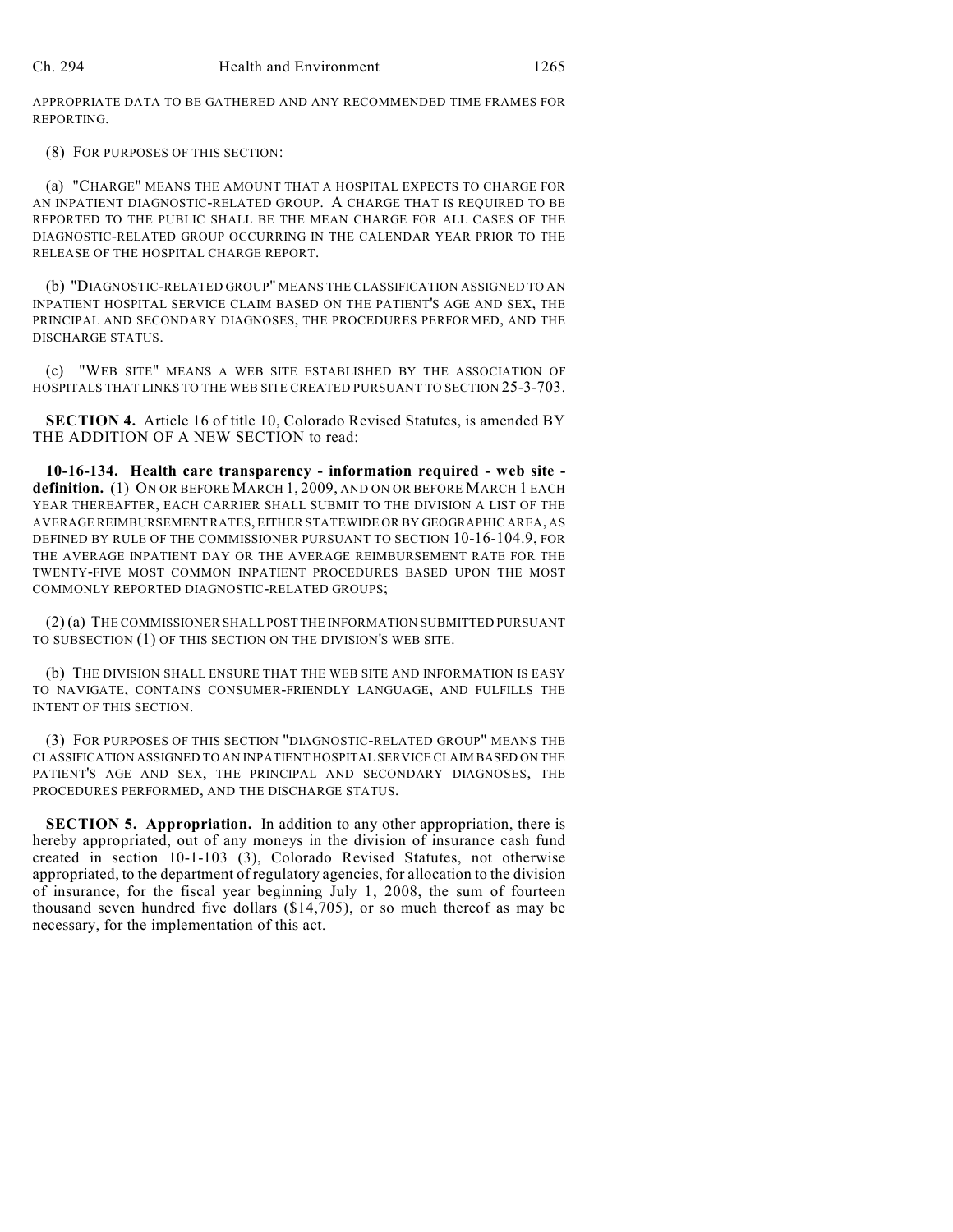APPROPRIATE DATA TO BE GATHERED AND ANY RECOMMENDED TIME FRAMES FOR REPORTING.

(8) FOR PURPOSES OF THIS SECTION:

(a) "CHARGE" MEANS THE AMOUNT THAT A HOSPITAL EXPECTS TO CHARGE FOR AN INPATIENT DIAGNOSTIC-RELATED GROUP. A CHARGE THAT IS REQUIRED TO BE REPORTED TO THE PUBLIC SHALL BE THE MEAN CHARGE FOR ALL CASES OF THE DIAGNOSTIC-RELATED GROUP OCCURRING IN THE CALENDAR YEAR PRIOR TO THE RELEASE OF THE HOSPITAL CHARGE REPORT.

(b) "DIAGNOSTIC-RELATED GROUP" MEANS THE CLASSIFICATION ASSIGNED TO AN INPATIENT HOSPITAL SERVICE CLAIM BASED ON THE PATIENT'S AGE AND SEX, THE PRINCIPAL AND SECONDARY DIAGNOSES, THE PROCEDURES PERFORMED, AND THE DISCHARGE STATUS.

(c) "WEB SITE" MEANS A WEB SITE ESTABLISHED BY THE ASSOCIATION OF HOSPITALS THAT LINKS TO THE WEB SITE CREATED PURSUANT TO SECTION 25-3-703.

**SECTION 4.** Article 16 of title 10, Colorado Revised Statutes, is amended BY THE ADDITION OF A NEW SECTION to read:

**10-16-134. Health care transparency - information required - web site definition.** (1) ON OR BEFORE MARCH 1, 2009, AND ON OR BEFORE MARCH 1 EACH YEAR THEREAFTER, EACH CARRIER SHALL SUBMIT TO THE DIVISION A LIST OF THE AVERAGE REIMBURSEMENT RATES, EITHER STATEWIDE OR BY GEOGRAPHIC AREA, AS DEFINED BY RULE OF THE COMMISSIONER PURSUANT TO SECTION 10-16-104.9, FOR THE AVERAGE INPATIENT DAY OR THE AVERAGE REIMBURSEMENT RATE FOR THE TWENTY-FIVE MOST COMMON INPATIENT PROCEDURES BASED UPON THE MOST COMMONLY REPORTED DIAGNOSTIC-RELATED GROUPS;

(2) (a) THE COMMISSIONER SHALL POST THE INFORMATION SUBMITTED PURSUANT TO SUBSECTION (1) OF THIS SECTION ON THE DIVISION'S WEB SITE.

(b) THE DIVISION SHALL ENSURE THAT THE WEB SITE AND INFORMATION IS EASY TO NAVIGATE, CONTAINS CONSUMER-FRIENDLY LANGUAGE, AND FULFILLS THE INTENT OF THIS SECTION.

(3) FOR PURPOSES OF THIS SECTION "DIAGNOSTIC-RELATED GROUP" MEANS THE CLASSIFICATION ASSIGNED TO AN INPATIENT HOSPITAL SERVICE CLAIM BASED ON THE PATIENT'S AGE AND SEX, THE PRINCIPAL AND SECONDARY DIAGNOSES, THE PROCEDURES PERFORMED, AND THE DISCHARGE STATUS.

**SECTION 5. Appropriation.** In addition to any other appropriation, there is hereby appropriated, out of any moneys in the division of insurance cash fund created in section 10-1-103 (3), Colorado Revised Statutes, not otherwise appropriated, to the department of regulatory agencies, for allocation to the division of insurance, for the fiscal year beginning July 1, 2008, the sum of fourteen thousand seven hundred five dollars (\$14,705), or so much thereof as may be necessary, for the implementation of this act.